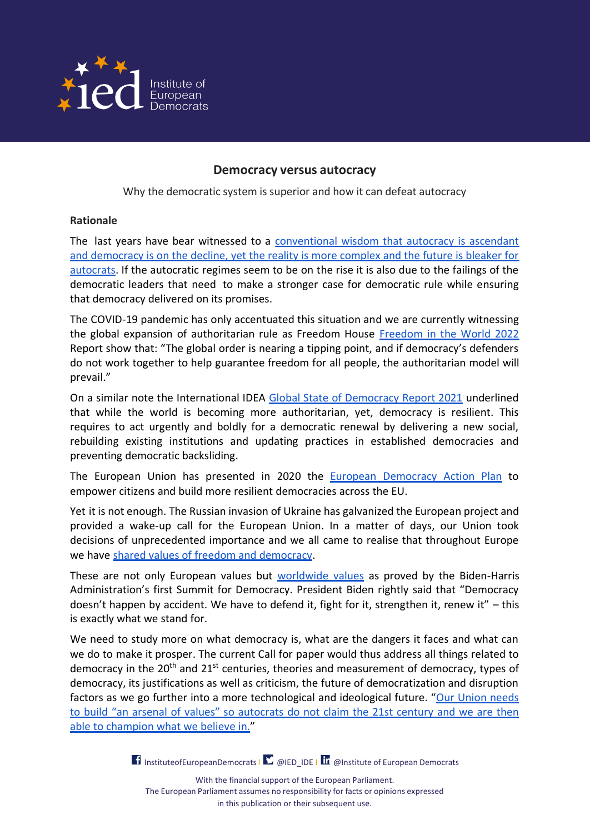

## **Democracy versus autocracy**

Why the democratic system is superior and how it can defeat autocracy

#### **Rationale**

The last years have bear witnessed to a [conventional wisdom that autocracy is ascendant](https://www.hrw.org/news/2022/01/14/how-democracy-can-defeat-autocracy) [and democracy is on the decline, yet the reality is more complex and the future is bleaker for](https://www.hrw.org/news/2022/01/14/how-democracy-can-defeat-autocracy) [autocrats.](https://www.hrw.org/news/2022/01/14/how-democracy-can-defeat-autocracy) If the autocratic regimes seem to be on the rise it is also due to the failings of the democratic leaders that need to make a stronger case for democratic rule while ensuring that democracy delivered on its promises.

The COVID-19 pandemic has only accentuated this situation and we are currently witnessing the global expansion of authoritarian rule as Freedom House [Freedom in the World 2022](https://freedomhouse.org/report/freedom-world/2022/global-expansion-authoritarian-rule) Report show that: "The global order is nearing a tipping point, and if democracy's defenders do not work together to help guarantee freedom for all people, the authoritarian model will prevail."

On a similar note the International IDEA [Global State of Democracy Report 2021](https://www.idea.int/gsod/) underlined that while the world is becoming more authoritarian, yet, democracy is resilient. This requires to act urgently and boldly for a democratic renewal by delivering a new social, rebuilding existing institutions and updating practices in established democracies and preventing democratic backsliding.

The European Union has presented in 2020 the European [Democracy](https://ec.europa.eu/commission/presscorner/detail/en/ip_20_2250) Action Plan to empower citizens and build more resilient democracies across the EU.

Yet it is not enough. The Russian invasion of Ukraine has galvanized the European project and provided a wake-up call for the European Union. In a matter of days, our Union took decisions of unprecedented importance and we all came to realise that throughout Europe we have shared values [of freedom and](https://www.consilium.europa.eu/media/54773/20220311-versailles-declaration-en.pdf) democracy.

These are not only European values but [worldwide values](http://democrats.eu/en/frankfurt-declaration) as proved by the Biden-Harris Administration's first Summit for Democracy. President Biden rightly said that "Democracy doesn't happen by accident. We have to defend it, fight for it, strengthen it, renew it" – this is exactly what we stand for.

We need to study more on what democracy is, what are the dangers it faces and what can we do to make it prosper. The current Call for paper would thus address all things related to democracy in the 20<sup>th</sup> and 21<sup>st</sup> centuries, theories and measurement of democracy, types of democracy, its justifications as well as criticism, the future of democratization and disruption factors as we go further into a more technological and ideological future. "[Our Union needs](http://democrats.eu/en/frankfurt-declaration) [to build "an arsenal of values" so autocrats do not claim the 21st century and we are then](http://democrats.eu/en/frankfurt-declaration) able [to champion what we believe in.](http://democrats.eu/en/frankfurt-declaration)"

**I**nstitute of European [Democrats](https://www.linkedin.com/company/institute-of-european-democrats/)  $\sum_{i=1}^{n} \omega_i$  ED IDE  $\prod_{i=1}^{n} \omega_i$  Institute of European Democrats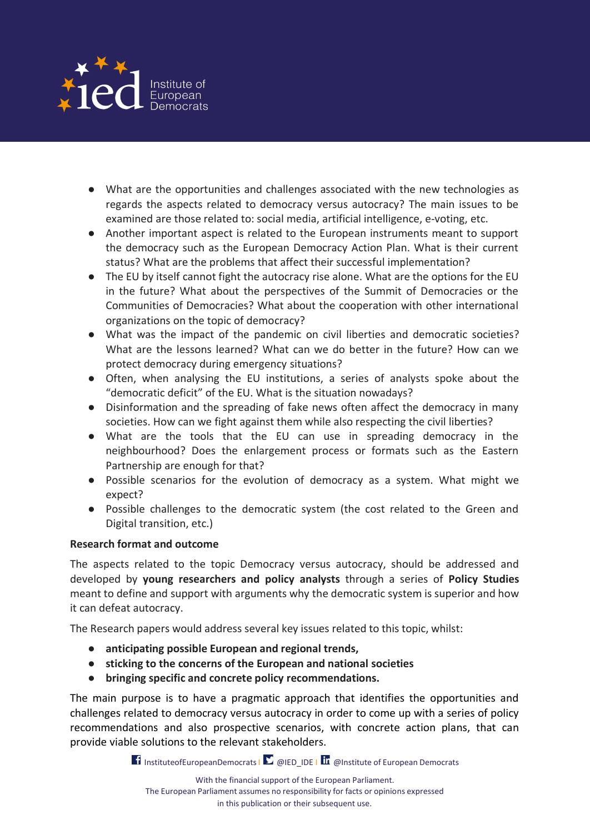

- What are the opportunities and challenges associated with the new technologies as regards the aspects related to democracy versus autocracy? The main issues to be examined are those related to: social media, artificial intelligence, e-voting, etc.
- Another important aspect is related to the European instruments meant to support the democracy such as the European Democracy Action Plan. What is their current status? What are the problems that affect their successful implementation?
- The EU by itself cannot fight the autocracy rise alone. What are the options for the EU in the future? What about the perspectives of the Summit of Democracies or the Communities of Democracies? What about the cooperation with other international organizations on the topic of democracy?
- What was the impact of the pandemic on civil liberties and democratic societies? What are the lessons learned? What can we do better in the future? How can we protect democracy during emergency situations?
- Often, when analysing the EU institutions, a series of analysts spoke about the "democratic deficit" of the EU. What is the situation nowadays?
- Disinformation and the spreading of fake news often affect the democracy in many societies. How can we fight against them while also respecting the civil liberties?
- What are the tools that the EU can use in spreading democracy in the neighbourhood? Does the enlargement process or formats such as the Eastern Partnership are enough for that?
- Possible scenarios for the evolution of democracy as a system. What might we expect?
- Possible challenges to the democratic system (the cost related to the Green and Digital transition, etc.)

# **Research format and outcome**

The aspects related to the topic Democracy versus autocracy, should be addressed and developed by **young researchers and policy analysts** through a series of **Policy Studies** meant to define and support with arguments why the democratic system is superior and how it can defeat autocracy.

The Research papers would address several key issues related to this topic, whilst:

- **● anticipating possible European and regional trends,**
- **● sticking to the concerns of the European and national societies**
- **● bringing specific and concrete policy recommendations.**

The main purpose is to have a pragmatic approach that identifies the opportunities and challenges related to democracy versus autocracy in order to come up with a series of policy recommendations and also prospective scenarios, with concrete action plans, that can provide viable solutions to the relevant stakeholders.

**I** Institute of European [Democrats](https://www.linkedin.com/company/institute-of-european-democrats/)  $\sum_{n=1}^{\infty}$  @IED\_IDE 1 **II** @Institute of European Democrats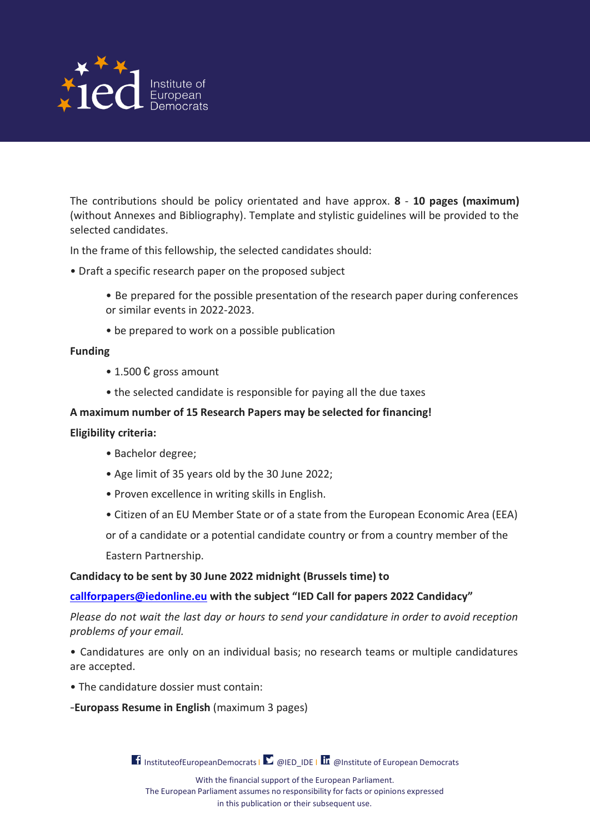

The contributions should be policy orientated and have approx. **8** - **10 pages (maximum)** (without Annexes and Bibliography). Template and stylistic guidelines will be provided to the selected candidates.

In the frame of this fellowship, the selected candidates should:

- Draft a specific research paper on the proposed subject
	- Be prepared for the possible presentation of the research paper during conferences or similar events in 2022-2023.
	- be prepared to work on a possible publication

### **Funding**

- 1.500 € gross amount
- the selected candidate is responsible for paying all the due taxes

## **A maximum number of 15 Research Papers may be selected for financing!**

### **Eligibility criteria:**

- Bachelor degree;
- Age limit of 35 years old by the 30 June 2022;
- Proven excellence in writing skills in English.
- Citizen of an EU Member State or of a state from the European Economic Area (EEA)

or of a candidate or a potential candidate country or from a country member of the Eastern Partnership.

### **Candidacy to be sent by 30 June 2022 midnight (Brussels time) to**

# **[callforpapers@iedonline.eu](mailto:callforpapers@iedonline.eu) with the subject "IED Call for papers 2022 Candidacy"**

*Please do not wait the last day or hours to send your candidature in order to avoid reception problems of your email.*

• Candidatures are only on an individual basis; no research teams or multiple candidatures are accepted.

- The candidature dossier must contain:
- -**Europass Resume in English** (maximum 3 pages)

**IT** InstituteofEuropean[Democrats](https://www.linkedin.com/company/institute-of-european-democrats/) |  $\Sigma$  @IED\_IDE |  $\overline{\text{I}n}$  @Institute of European Democrats